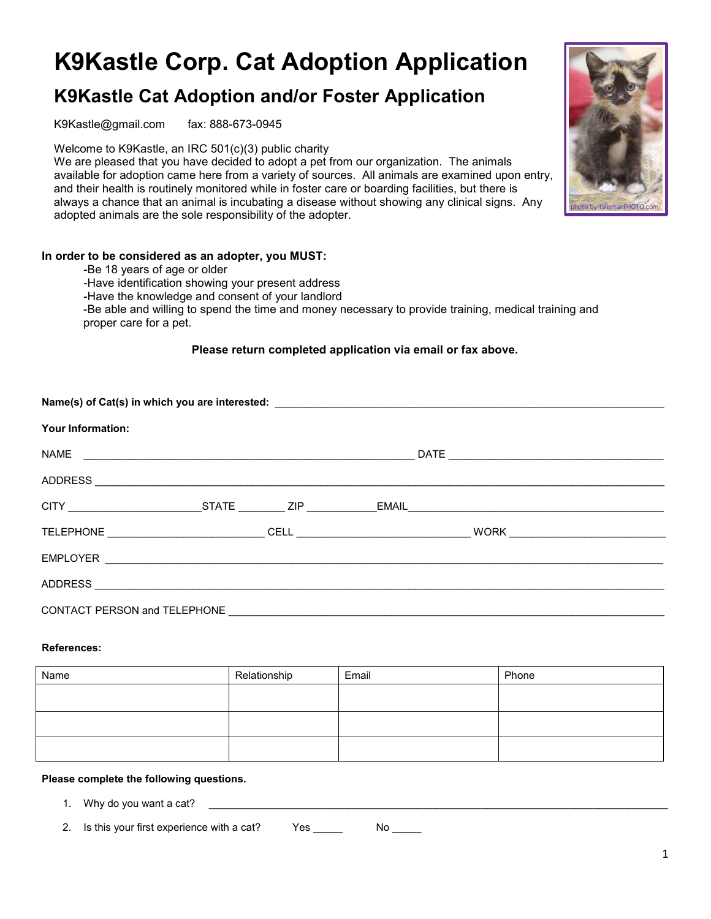# **K9Kastle Corp. Cat Adoption Application**

# **K9Kastle Cat Adoption and/or Foster Application**

K9Kastle@gmail.com fax: 888-673-0945

Welcome to K9Kastle, an IRC 501(c)(3) public charity

We are pleased that you have decided to adopt a pet from our organization. The animals available for adoption came here from a variety of sources. All animals are examined upon entry, and their health is routinely monitored while in foster care or boarding facilities, but there is always a chance that an animal is incubating a disease without showing any clinical signs. Any adopted animals are the sole responsibility of the adopter.

## **In order to be considered as an adopter, you MUST:**

- -Be 18 years of age or older
- -Have identification showing your present address
- -Have the knowledge and consent of your landlord

-Be able and willing to spend the time and money necessary to provide training, medical training and proper care for a pet.

#### **Please return completed application via email or fax above.**

| <b>Your Information:</b> |  |  |  |  |  |  |  |
|--------------------------|--|--|--|--|--|--|--|
|                          |  |  |  |  |  |  |  |
|                          |  |  |  |  |  |  |  |
|                          |  |  |  |  |  |  |  |
|                          |  |  |  |  |  |  |  |
|                          |  |  |  |  |  |  |  |
|                          |  |  |  |  |  |  |  |
|                          |  |  |  |  |  |  |  |

#### **References:**

| Name | Relationship | Email | Phone |
|------|--------------|-------|-------|
|      |              |       |       |
|      |              |       |       |
|      |              |       |       |
|      |              |       |       |

#### **Please complete the following questions.**

1. Why do you want a cat?

2. Is this your first experience with a cat? Yes \_\_\_\_\_ No \_\_\_\_

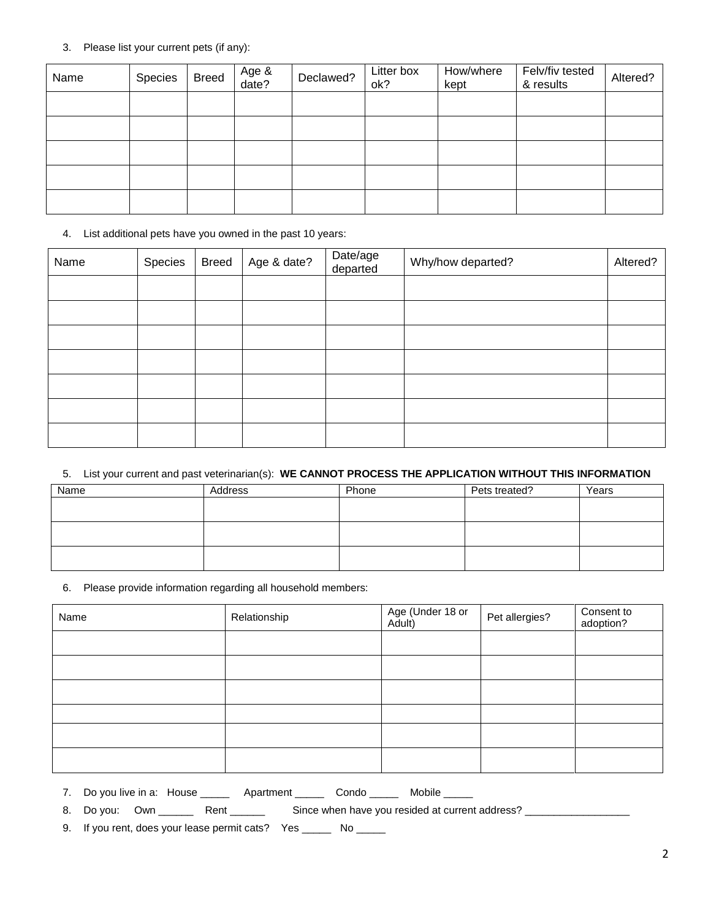#### 3. Please list your current pets (if any):

| Name | Species | <b>Breed</b> | Age &<br>date? | Declawed? | Litter box<br>ok? | How/where<br>kept | Felv/fiv tested<br>& results | Altered? |
|------|---------|--------------|----------------|-----------|-------------------|-------------------|------------------------------|----------|
|      |         |              |                |           |                   |                   |                              |          |
|      |         |              |                |           |                   |                   |                              |          |
|      |         |              |                |           |                   |                   |                              |          |
|      |         |              |                |           |                   |                   |                              |          |
|      |         |              |                |           |                   |                   |                              |          |

## 4. List additional pets have you owned in the past 10 years:

| Name | Species | <b>Breed</b> | Age & date? | Date/age<br>departed | Why/how departed? | Altered? |
|------|---------|--------------|-------------|----------------------|-------------------|----------|
|      |         |              |             |                      |                   |          |
|      |         |              |             |                      |                   |          |
|      |         |              |             |                      |                   |          |
|      |         |              |             |                      |                   |          |
|      |         |              |             |                      |                   |          |
|      |         |              |             |                      |                   |          |
|      |         |              |             |                      |                   |          |

# 5. List your current and past veterinarian(s): **WE CANNOT PROCESS THE APPLICATION WITHOUT THIS INFORMATION**

| Name | Address | Phone | Pets treated? | Years |
|------|---------|-------|---------------|-------|
|      |         |       |               |       |
|      |         |       |               |       |
|      |         |       |               |       |
|      |         |       |               |       |
|      |         |       |               |       |
|      |         |       |               |       |

## 6. Please provide information regarding all household members:

| Name | Relationship | Age (Under 18 or<br>Adult) | Pet allergies? | Consent to<br>adoption? |
|------|--------------|----------------------------|----------------|-------------------------|
|      |              |                            |                |                         |
|      |              |                            |                |                         |
|      |              |                            |                |                         |
|      |              |                            |                |                         |
|      |              |                            |                |                         |
|      |              |                            |                |                         |

7. Do you live in a: House \_\_\_\_\_ Apartment \_\_\_\_\_ Condo \_\_\_\_\_ Mobile \_\_\_\_\_

8. Do you: Own \_\_\_\_\_\_ Rent \_\_\_\_\_\_ Since when have you resided at current address? \_\_\_\_\_\_\_\_\_\_\_\_\_\_\_\_\_

9. If you rent, does your lease permit cats? Yes \_\_\_\_\_ No \_\_\_\_\_